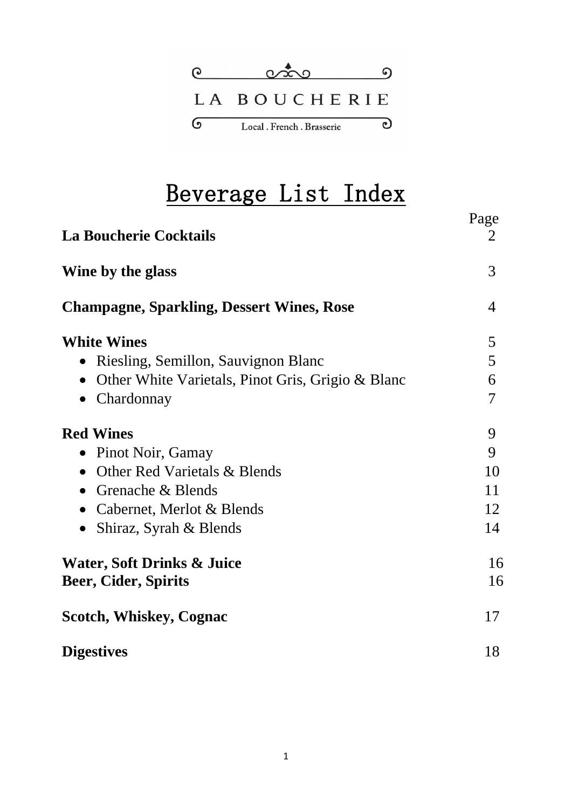

# Beverage List Index

| <b>La Boucherie Cocktails</b>                                        | Page<br>2      |
|----------------------------------------------------------------------|----------------|
| Wine by the glass                                                    | 3              |
| <b>Champagne, Sparkling, Dessert Wines, Rose</b>                     | $\overline{4}$ |
| <b>White Wines</b>                                                   | 5              |
| Riesling, Semillon, Sauvignon Blanc<br>$\bullet$                     | 5              |
| Other White Varietals, Pinot Gris, Grigio & Blanc<br>$\bullet$       | 6              |
| Chardonnay<br>$\bullet$                                              | $\overline{7}$ |
| <b>Red Wines</b>                                                     | 9              |
| Pinot Noir, Gamay<br>$\bullet$                                       | 9              |
| Other Red Varietals & Blends<br>$\bullet$                            | 10             |
| • Grenache $&$ Blends                                                | 11             |
| • Cabernet, Merlot $& \text{Blends}$                                 | 12             |
| Shiraz, Syrah & Blends                                               | 14             |
| <b>Water, Soft Drinks &amp; Juice</b><br><b>Beer, Cider, Spirits</b> | 16<br>16       |
| <b>Scotch, Whiskey, Cognac</b>                                       | 17             |
| <b>Digestives</b>                                                    | 18             |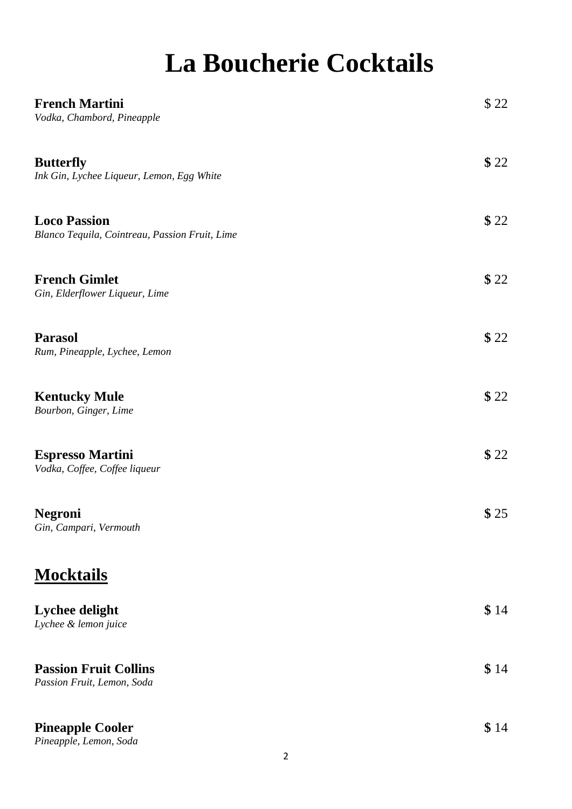# **La Boucherie Cocktails**

| <b>French Martini</b><br>Vodka, Chambord, Pineapple                   | \$22 |
|-----------------------------------------------------------------------|------|
| <b>Butterfly</b><br>Ink Gin, Lychee Liqueur, Lemon, Egg White         | \$22 |
| <b>Loco Passion</b><br>Blanco Tequila, Cointreau, Passion Fruit, Lime | \$22 |
| <b>French Gimlet</b><br>Gin, Elderflower Liqueur, Lime                | \$22 |
| <b>Parasol</b><br>Rum, Pineapple, Lychee, Lemon                       | \$22 |
| <b>Kentucky Mule</b><br>Bourbon, Ginger, Lime                         | \$22 |
| <b>Espresso Martini</b><br>Vodka, Coffee, Coffee liqueur              | \$22 |
| <b>Negroni</b><br>Gin, Campari, Vermouth                              | \$25 |
| <b>Mocktails</b>                                                      |      |
| Lychee delight<br>Lychee & lemon juice                                | \$14 |
| <b>Passion Fruit Collins</b><br>Passion Fruit, Lemon, Soda            | \$14 |
| <b>Pineapple Cooler</b>                                               | \$14 |

*Pineapple, Lemon, Soda*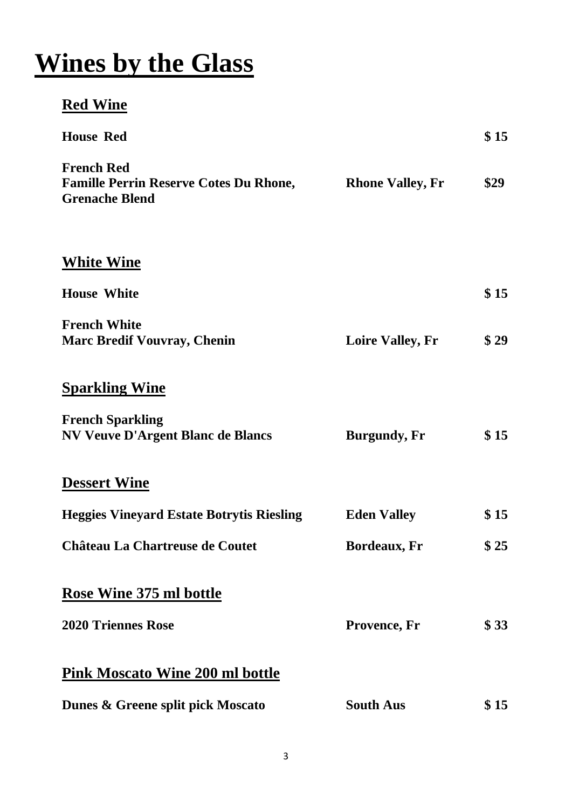# **Wines by the Glass**

## **Red Wine**

| <b>House Red</b>                                                                            |                         | \$15 |
|---------------------------------------------------------------------------------------------|-------------------------|------|
| <b>French Red</b><br><b>Famille Perrin Reserve Cotes Du Rhone,</b><br><b>Grenache Blend</b> | <b>Rhone Valley, Fr</b> | \$29 |
| <b>White Wine</b>                                                                           |                         |      |
| <b>House White</b>                                                                          |                         | \$15 |
| <b>French White</b><br><b>Marc Bredif Vouvray, Chenin</b>                                   | <b>Loire Valley, Fr</b> | \$29 |
| <b>Sparkling Wine</b>                                                                       |                         |      |
| <b>French Sparkling</b><br><b>NV Veuve D'Argent Blanc de Blancs</b>                         | <b>Burgundy, Fr</b>     | \$15 |
| <b>Dessert Wine</b>                                                                         |                         |      |
| <b>Heggies Vineyard Estate Botrytis Riesling</b>                                            | <b>Eden Valley</b>      | \$15 |
| <b>Château La Chartreuse de Coutet</b>                                                      | <b>Bordeaux, Fr</b>     | \$25 |
| <b>Rose Wine 375 ml bottle</b>                                                              |                         |      |
| <b>2020 Triennes Rose</b>                                                                   | Provence, Fr            | \$33 |
| <b>Pink Moscato Wine 200 ml bottle</b>                                                      |                         |      |
| Dunes & Greene split pick Moscato                                                           | <b>South Aus</b>        | \$15 |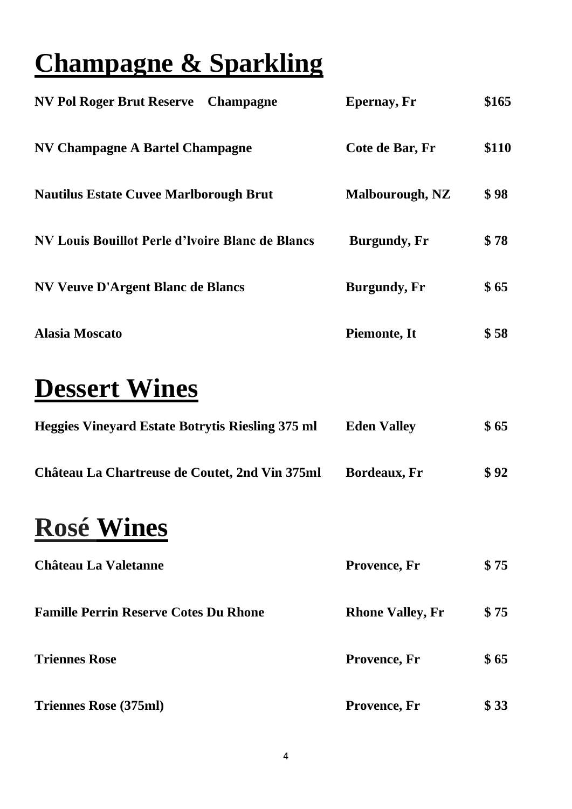# **Champagne & Sparkling**

| NV Pol Roger Brut Reserve Champagne                     | <b>Epernay</b> , Fr    | \$165 |
|---------------------------------------------------------|------------------------|-------|
| NV Champagne A Bartel Champagne                         | Cote de Bar, Fr        | \$110 |
| <b>Nautilus Estate Cuvee Marlborough Brut</b>           | <b>Malbourough, NZ</b> | \$98  |
| <b>NV Louis Bouillot Perle d'Ivoire Blanc de Blancs</b> | <b>Burgundy</b> , Fr   | \$78  |
| <b>NV Veuve D'Argent Blanc de Blancs</b>                | <b>Burgundy</b> , Fr   | \$65  |
| <b>Alasia Moscato</b>                                   | Piemonte, It           | \$58  |

## **Dessert Wines**

| <b>Heggies Vinevard Estate Botrytis Riesling 375 ml</b> | <b>Eden Valley</b> | \$65 |
|---------------------------------------------------------|--------------------|------|
| Château La Chartreuse de Coutet, 2nd Vin 375ml          | Bordeaux, Fr       | \$92 |

## **Rosé Wines**

| <b>Château La Valetanne</b>                  | Provence, Fr            | \$75 |
|----------------------------------------------|-------------------------|------|
| <b>Famille Perrin Reserve Cotes Du Rhone</b> | <b>Rhone Valley, Fr</b> | \$75 |
| <b>Triennes Rose</b>                         | Provence, Fr            | \$65 |
| <b>Triennes Rose (375ml)</b>                 | Provence, Fr            | \$33 |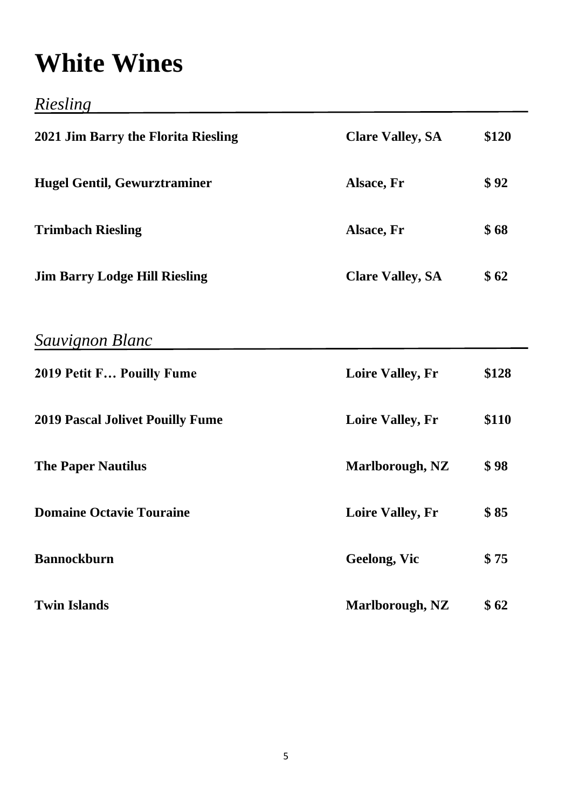# **White Wines**

*Riesling*

| 2021 Jim Barry the Florita Riesling     | <b>Clare Valley, SA</b> | \$120 |
|-----------------------------------------|-------------------------|-------|
| <b>Hugel Gentil, Gewurztraminer</b>     | Alsace, Fr              | \$92  |
| <b>Trimbach Riesling</b>                | Alsace, Fr              | \$68  |
| <b>Jim Barry Lodge Hill Riesling</b>    | <b>Clare Valley, SA</b> | \$62  |
| Sauvignon Blanc                         |                         |       |
| 2019 Petit F Pouilly Fume               | <b>Loire Valley, Fr</b> | \$128 |
| <b>2019 Pascal Jolivet Pouilly Fume</b> | <b>Loire Valley, Fr</b> | \$110 |
| <b>The Paper Nautilus</b>               | Marlborough, NZ         | \$98  |
| <b>Domaine Octavie Touraine</b>         | <b>Loire Valley, Fr</b> | \$85  |
| <b>Bannockburn</b>                      | <b>Geelong, Vic</b>     | \$75  |
| <b>Twin Islands</b>                     | Marlborough, NZ         | \$62  |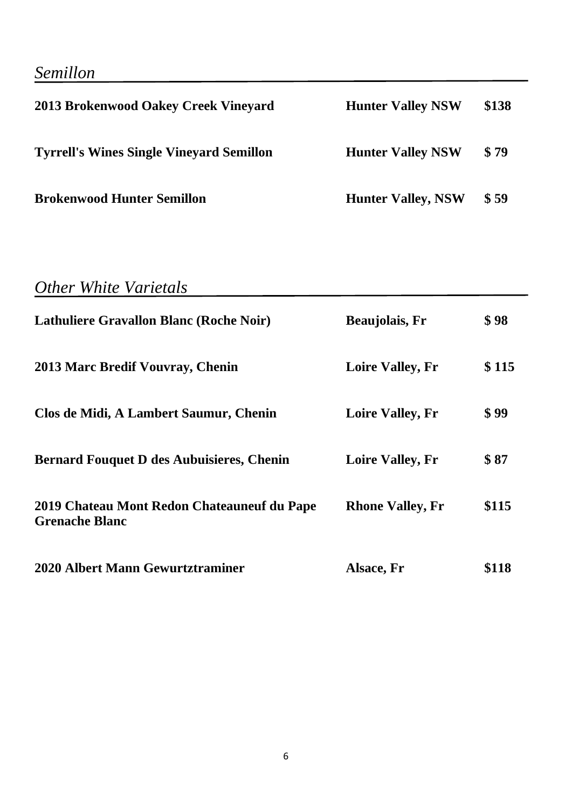## *Semillon*

| 2013 Brokenwood Oakey Creek Vineyard            | <b>Hunter Valley NSW</b>  | \$138 |
|-------------------------------------------------|---------------------------|-------|
| <b>Tyrrell's Wines Single Vineyard Semillon</b> | <b>Hunter Valley NSW</b>  | \$79  |
| <b>Brokenwood Hunter Semillon</b>               | <b>Hunter Valley, NSW</b> | \$59  |

## *Other White Varietals*

| <b>Lathuliere Gravallon Blanc (Roche Noir)</b>                       | <b>Beaujolais</b> , Fr  | \$98  |
|----------------------------------------------------------------------|-------------------------|-------|
| 2013 Marc Bredif Vouvray, Chenin                                     | <b>Loire Valley, Fr</b> | \$115 |
| Clos de Midi, A Lambert Saumur, Chenin                               | <b>Loire Valley, Fr</b> | \$99  |
| <b>Bernard Fouquet D des Aubuisieres, Chenin</b>                     | <b>Loire Valley, Fr</b> | \$87  |
| 2019 Chateau Mont Redon Chateauneuf du Pape<br><b>Grenache Blanc</b> | <b>Rhone Valley, Fr</b> | \$115 |
| 2020 Albert Mann Gewurtztraminer                                     | Alsace, Fr              | \$118 |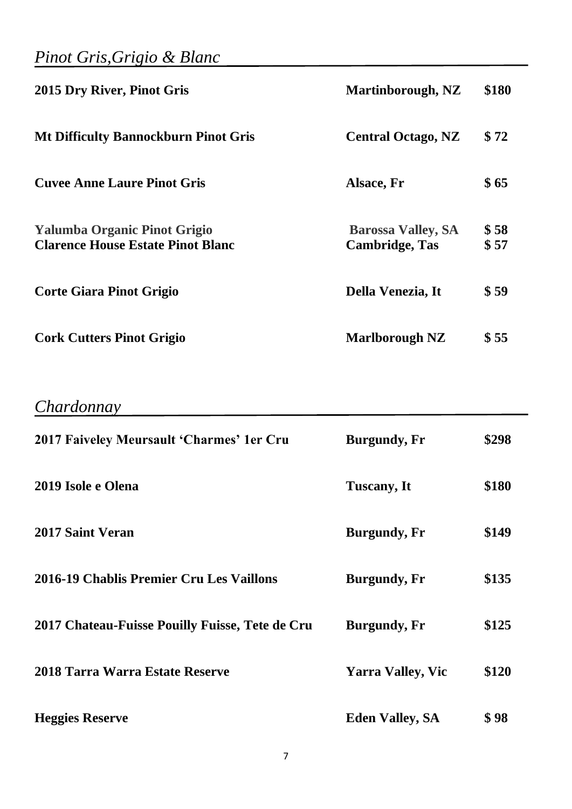### *Pinot Gris,Grigio & Blanc*

| 2015 Dry River, Pinot Gris                                                      | Martinborough, NZ                                  | \$180        |
|---------------------------------------------------------------------------------|----------------------------------------------------|--------------|
| <b>Mt Difficulty Bannockburn Pinot Gris</b>                                     | <b>Central Octago, NZ</b>                          | \$72         |
| <b>Cuvee Anne Laure Pinot Gris</b>                                              | Alsace, Fr                                         | \$65         |
| <b>Yalumba Organic Pinot Grigio</b><br><b>Clarence House Estate Pinot Blanc</b> | <b>Barossa Valley, SA</b><br><b>Cambridge, Tas</b> | \$58<br>\$57 |
| <b>Corte Giara Pinot Grigio</b>                                                 | Della Venezia, It                                  | \$59         |
| <b>Cork Cutters Pinot Grigio</b>                                                | <b>Marlborough NZ</b>                              | \$55         |

### *Chardonnay*

| 2017 Faiveley Meursault 'Charmes' 1er Cru       | <b>Burgundy</b> , Fr     | \$298 |
|-------------------------------------------------|--------------------------|-------|
| 2019 Isole e Olena                              | <b>Tuscany</b> , It      | \$180 |
| <b>2017 Saint Veran</b>                         | <b>Burgundy, Fr</b>      | \$149 |
| 2016-19 Chablis Premier Cru Les Vaillons        | <b>Burgundy</b> , Fr     | \$135 |
| 2017 Chateau-Fuisse Pouilly Fuisse, Tete de Cru | <b>Burgundy, Fr</b>      | \$125 |
| 2018 Tarra Warra Estate Reserve                 | <b>Yarra Valley, Vic</b> | \$120 |
| <b>Heggies Reserve</b>                          | <b>Eden Valley, SA</b>   | \$98  |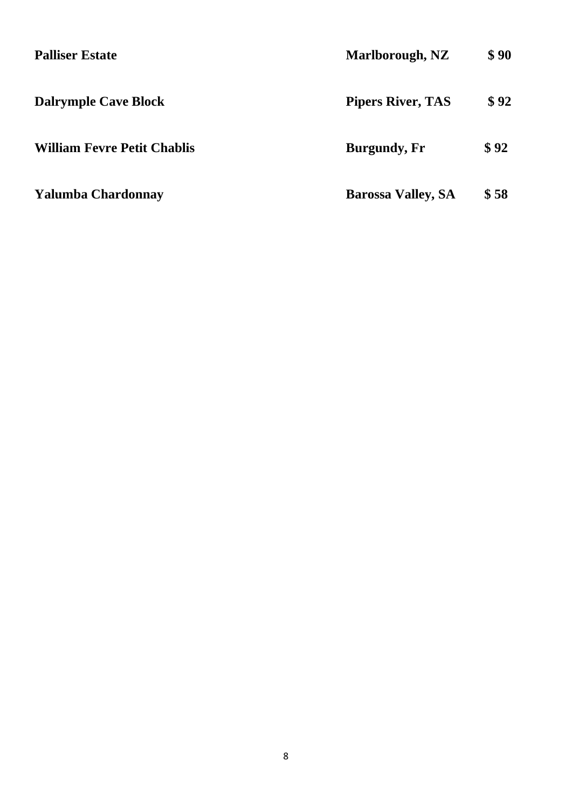| <b>Palliser Estate</b>             | Marlborough, NZ           | \$90 |
|------------------------------------|---------------------------|------|
| <b>Dalrymple Cave Block</b>        | <b>Pipers River, TAS</b>  | \$92 |
| <b>William Fevre Petit Chablis</b> | <b>Burgundy</b> , Fr      | \$92 |
| <b>Yalumba Chardonnay</b>          | <b>Barossa Valley, SA</b> | \$58 |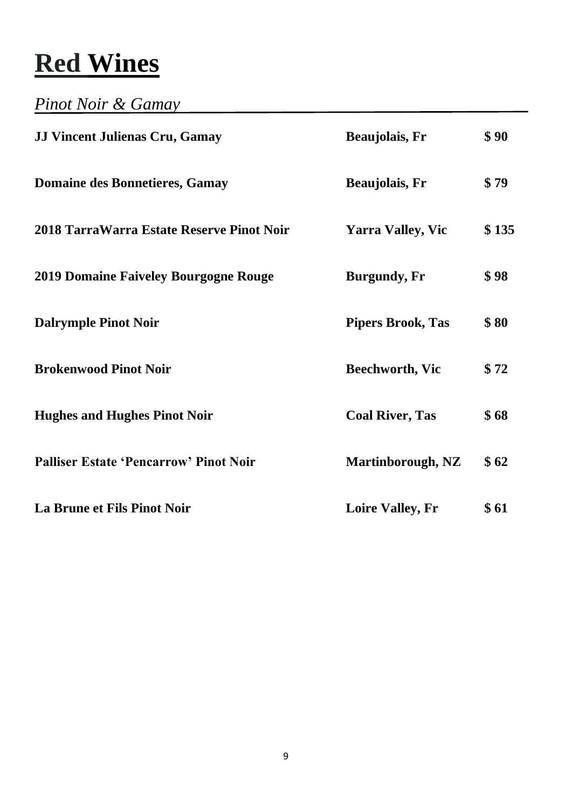# **Red Wines**

### *Pinot Noir & Gamay*

| <b>JJ Vincent Julienas Cru, Gamay</b>         | <b>Beaujolais</b> , Fr   | \$90  |
|-----------------------------------------------|--------------------------|-------|
| <b>Domaine des Bonnetieres, Gamay</b>         | <b>Beaujolais</b> , Fr   | \$79  |
| 2018 TarraWarra Estate Reserve Pinot Noir     | <b>Yarra Valley, Vic</b> | \$135 |
| <b>2019 Domaine Faiveley Bourgogne Rouge</b>  | <b>Burgundy, Fr</b>      | \$98  |
| <b>Dalrymple Pinot Noir</b>                   | <b>Pipers Brook, Tas</b> | \$80  |
| <b>Brokenwood Pinot Noir</b>                  | <b>Beechworth, Vic</b>   | \$72  |
| <b>Hughes and Hughes Pinot Noir</b>           | <b>Coal River, Tas</b>   | \$68  |
| <b>Palliser Estate 'Pencarrow' Pinot Noir</b> | Martinborough, NZ        | \$62  |
| La Brune et Fils Pinot Noir                   | <b>Loire Valley, Fr</b>  | \$61  |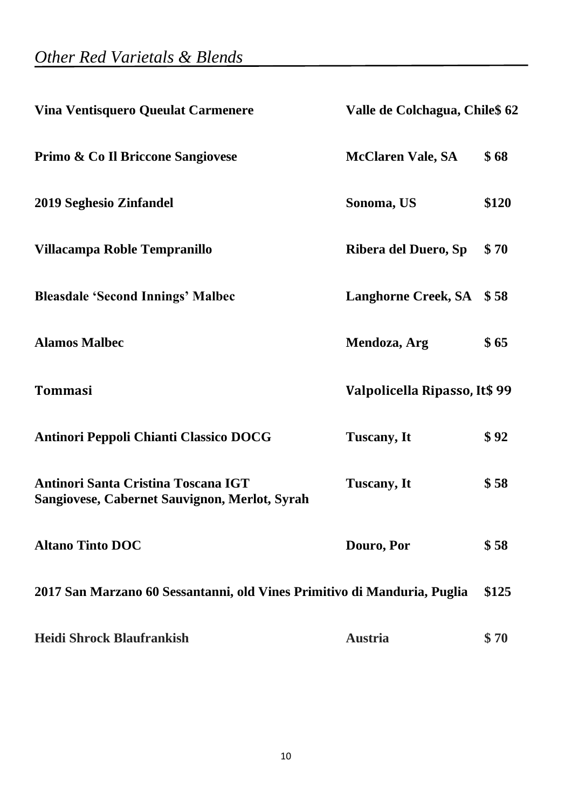| <b>Vina Ventisquero Queulat Carmenere</b>                                                   | Valle de Colchagua, Chile\$ 62 |       |
|---------------------------------------------------------------------------------------------|--------------------------------|-------|
| Primo & Co Il Briccone Sangiovese                                                           | <b>McClaren Vale, SA</b>       | \$68  |
| 2019 Seghesio Zinfandel                                                                     | Sonoma, US                     | \$120 |
| Villacampa Roble Tempranillo                                                                | Ribera del Duero, Sp           | \$70  |
| <b>Bleasdale 'Second Innings' Malbec</b>                                                    | <b>Langhorne Creek, SA</b>     | \$58  |
| <b>Alamos Malbec</b>                                                                        | Mendoza, Arg                   | \$65  |
| <b>Tommasi</b>                                                                              | Valpolicella Ripasso, It\$ 99  |       |
| <b>Antinori Peppoli Chianti Classico DOCG</b>                                               | <b>Tuscany</b> , It            | \$92  |
| <b>Antinori Santa Cristina Toscana IGT</b><br>Sangiovese, Cabernet Sauvignon, Merlot, Syrah | Tuscany, It                    | \$58  |
| <b>Altano Tinto DOC</b>                                                                     | Douro, Por                     | \$58  |
| 2017 San Marzano 60 Sessantanni, old Vines Primitivo di Manduria, Puglia                    |                                | \$125 |
| <b>Heidi Shrock Blaufrankish</b>                                                            | <b>Austria</b>                 | \$70  |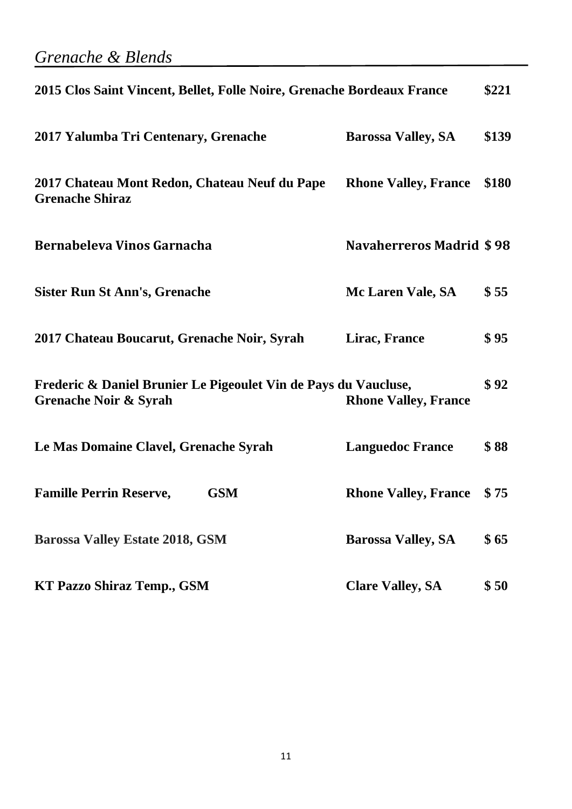### *Grenache & Blends*

| 2015 Clos Saint Vincent, Bellet, Folle Noire, Grenache Bordeaux France                              |                                 | \$221 |
|-----------------------------------------------------------------------------------------------------|---------------------------------|-------|
| 2017 Yalumba Tri Centenary, Grenache                                                                | <b>Barossa Valley, SA</b>       | \$139 |
| 2017 Chateau Mont Redon, Chateau Neuf du Pape<br><b>Grenache Shiraz</b>                             | <b>Rhone Valley, France</b>     | \$180 |
| Bernabeleva Vinos Garnacha                                                                          | <b>Navaherreros Madrid \$98</b> |       |
| <b>Sister Run St Ann's, Grenache</b>                                                                | Mc Laren Vale, SA               | \$55  |
| 2017 Chateau Boucarut, Grenache Noir, Syrah                                                         | Lirac, France                   | \$95  |
| Frederic & Daniel Brunier Le Pigeoulet Vin de Pays du Vaucluse,<br><b>Grenache Noir &amp; Syrah</b> | <b>Rhone Valley, France</b>     | \$92  |
| Le Mas Domaine Clavel, Grenache Syrah                                                               | <b>Languedoc France</b>         | \$88  |
| <b>Famille Perrin Reserve,</b><br><b>GSM</b>                                                        | <b>Rhone Valley, France</b>     | \$75  |
| <b>Barossa Valley Estate 2018, GSM</b>                                                              | <b>Barossa Valley, SA</b>       | \$65  |
| <b>KT Pazzo Shiraz Temp., GSM</b>                                                                   | <b>Clare Valley, SA</b>         | \$50  |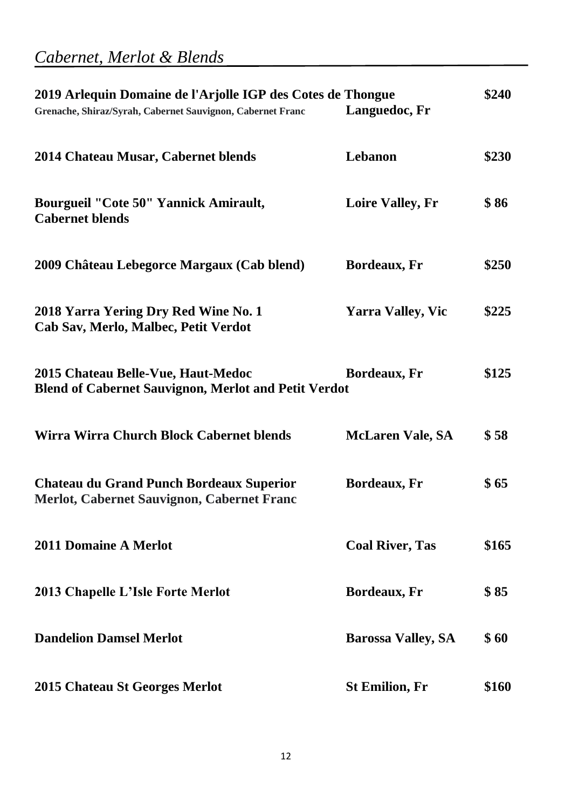## *Cabernet, Merlot & Blends*

| 2019 Arlequin Domaine de l'Arjolle IGP des Cotes de Thongue<br>Grenache, Shiraz/Syrah, Cabernet Sauvignon, Cabernet Franc | Languedoc, Fr             | \$240 |
|---------------------------------------------------------------------------------------------------------------------------|---------------------------|-------|
| 2014 Chateau Musar, Cabernet blends                                                                                       | Lebanon                   | \$230 |
| <b>Bourgueil "Cote 50" Yannick Amirault,</b><br><b>Cabernet blends</b>                                                    | <b>Loire Valley, Fr</b>   | \$86  |
| 2009 Château Lebegorce Margaux (Cab blend)                                                                                | Bordeaux, Fr              | \$250 |
| 2018 Yarra Yering Dry Red Wine No. 1<br>Cab Sav, Merlo, Malbec, Petit Verdot                                              | <b>Yarra Valley, Vic</b>  | \$225 |
| 2015 Chateau Belle-Vue, Haut-Medoc<br><b>Blend of Cabernet Sauvignon, Merlot and Petit Verdot</b>                         | Bordeaux, Fr              | \$125 |
| Wirra Wirra Church Block Cabernet blends                                                                                  | <b>McLaren Vale, SA</b>   | \$58  |
| <b>Chateau du Grand Punch Bordeaux Superior</b><br>Merlot, Cabernet Sauvignon, Cabernet Franc                             | Bordeaux, Fr              | \$65  |
| <b>2011 Domaine A Merlot</b>                                                                                              | <b>Coal River, Tas</b>    | \$165 |
| 2013 Chapelle L'Isle Forte Merlot                                                                                         | <b>Bordeaux</b> , Fr      | \$85  |
| <b>Dandelion Damsel Merlot</b>                                                                                            | <b>Barossa Valley, SA</b> | \$60  |
| 2015 Chateau St Georges Merlot                                                                                            | <b>St Emilion, Fr</b>     | \$160 |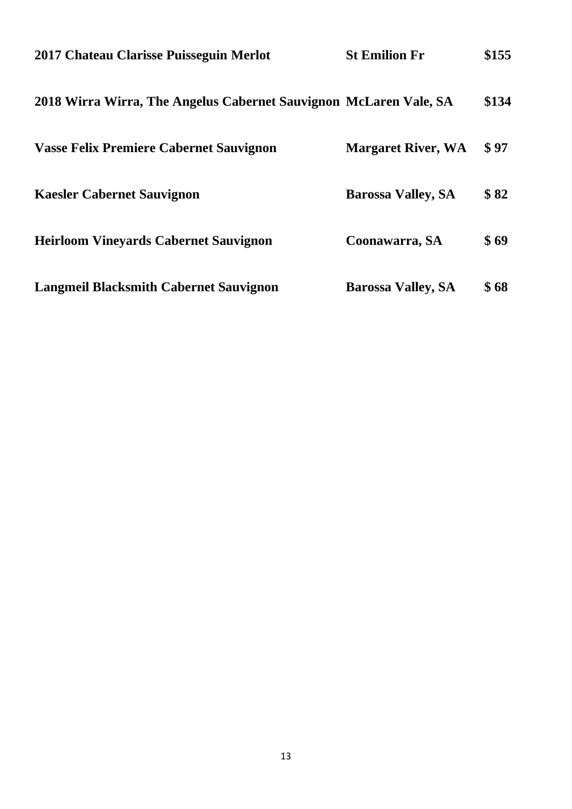| 2017 Chateau Clarisse Puisseguin Merlot                           | <b>St Emilion Fr</b>      | \$155 |
|-------------------------------------------------------------------|---------------------------|-------|
| 2018 Wirra Wirra, The Angelus Cabernet Sauvignon McLaren Vale, SA |                           | \$134 |
| <b>Vasse Felix Premiere Cabernet Sauvignon</b>                    | <b>Margaret River, WA</b> | \$97  |
| <b>Kaesler Cabernet Sauvignon</b>                                 | <b>Barossa Valley, SA</b> | \$82  |
| <b>Heirloom Vineyards Cabernet Sauvignon</b>                      | Coonawarra, SA            | \$69  |
| <b>Langmeil Blacksmith Cabernet Sauvignon</b>                     | <b>Barossa Valley, SA</b> | \$68  |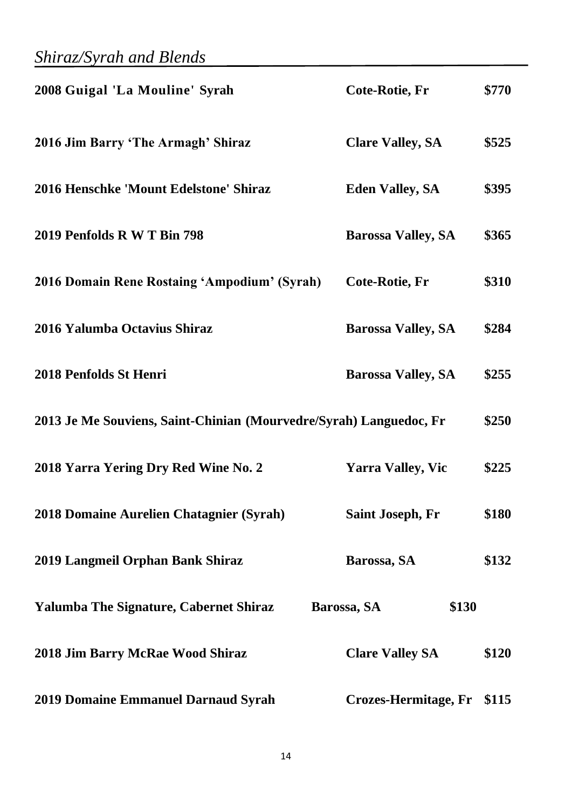| 2008 Guigal 'La Mouline' Syrah                                     | Cote-Rotie, Fr             | \$770 |
|--------------------------------------------------------------------|----------------------------|-------|
| 2016 Jim Barry 'The Armagh' Shiraz                                 | <b>Clare Valley, SA</b>    | \$525 |
| 2016 Henschke 'Mount Edelstone' Shiraz                             | <b>Eden Valley, SA</b>     | \$395 |
| 2019 Penfolds R W T Bin 798                                        | <b>Barossa Valley, SA</b>  | \$365 |
| <b>2016 Domain Rene Rostaing 'Ampodium' (Syrah)</b>                | Cote-Rotie, Fr             | \$310 |
| 2016 Yalumba Octavius Shiraz                                       | <b>Barossa Valley, SA</b>  | \$284 |
| 2018 Penfolds St Henri                                             | <b>Barossa Valley, SA</b>  | \$255 |
| 2013 Je Me Souviens, Saint-Chinian (Mourvedre/Syrah) Languedoc, Fr |                            | \$250 |
| 2018 Yarra Yering Dry Red Wine No. 2                               | <b>Yarra Valley, Vic</b>   | \$225 |
| 2018 Domaine Aurelien Chatagnier (Syrah)                           | <b>Saint Joseph, Fr</b>    | \$180 |
| 2019 Langmeil Orphan Bank Shiraz                                   | Barossa, SA                | \$132 |
| <b>Yalumba The Signature, Cabernet Shiraz</b>                      | \$130<br>Barossa, SA       |       |
| 2018 Jim Barry McRae Wood Shiraz                                   | <b>Clare Valley SA</b>     | \$120 |
| 2019 Domaine Emmanuel Darnaud Syrah                                | Crozes-Hermitage, Fr \$115 |       |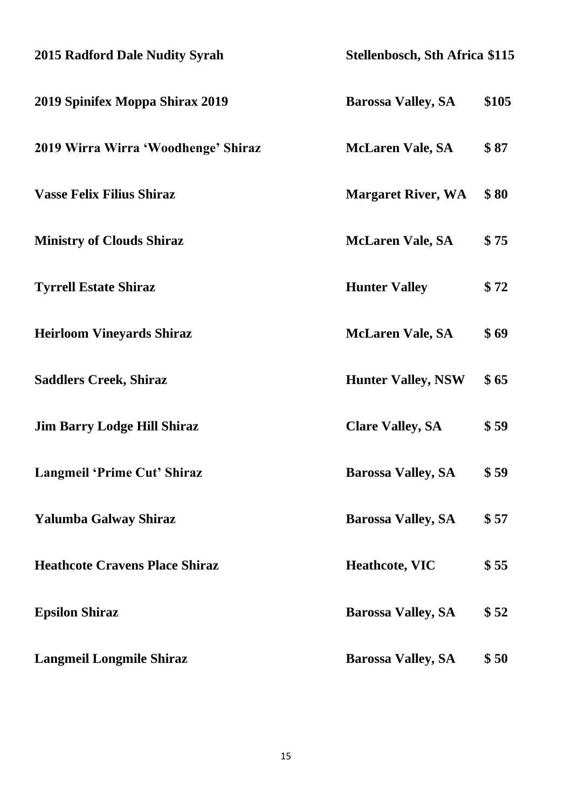| 2015 Radford Dale Nudity Syrah        | <b>Stellenbosch, Sth Africa \$115</b> |       |
|---------------------------------------|---------------------------------------|-------|
| 2019 Spinifex Moppa Shirax 2019       | <b>Barossa Valley, SA</b>             | \$105 |
| 2019 Wirra Wirra 'Woodhenge' Shiraz   | <b>McLaren Vale, SA</b>               | \$87  |
| <b>Vasse Felix Filius Shiraz</b>      | <b>Margaret River, WA</b>             | \$80  |
| <b>Ministry of Clouds Shiraz</b>      | <b>McLaren Vale, SA</b>               | \$75  |
| <b>Tyrrell Estate Shiraz</b>          | <b>Hunter Valley</b>                  | \$72  |
| <b>Heirloom Vineyards Shiraz</b>      | <b>McLaren Vale, SA</b>               | \$69  |
| <b>Saddlers Creek, Shiraz</b>         | <b>Hunter Valley, NSW</b>             | \$65  |
| <b>Jim Barry Lodge Hill Shiraz</b>    | <b>Clare Valley, SA</b>               | \$59  |
| Langmeil 'Prime Cut' Shiraz           | <b>Barossa Valley, SA</b>             | \$ 59 |
| Yalumba Galway Shiraz                 | <b>Barossa Valley, SA</b>             | \$57  |
| <b>Heathcote Cravens Place Shiraz</b> | <b>Heathcote, VIC</b>                 | \$55  |
| <b>Epsilon Shiraz</b>                 | <b>Barossa Valley, SA</b>             | \$52  |
| <b>Langmeil Longmile Shiraz</b>       | <b>Barossa Valley, SA</b>             | \$50  |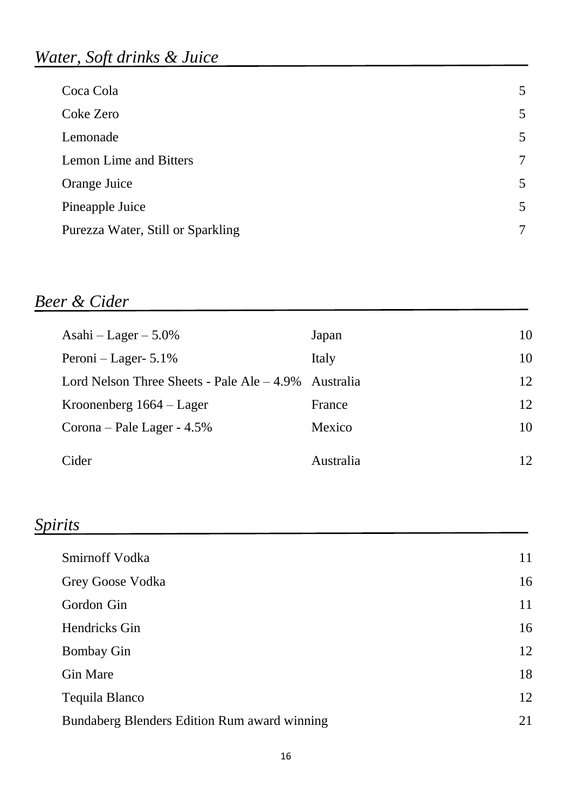### *Water, Soft drinks & Juice*

| 5              |
|----------------|
| 5              |
| 5              |
| $\overline{7}$ |
| 5              |
| 5              |
| 7              |
|                |

### *Beer & Cider*

| Asahi - Lager $-5.0\%$                       | Japan            | 10 |
|----------------------------------------------|------------------|----|
| Peroni – Lager- $5.1\%$                      | Italy            | 10 |
| Lord Nelson Three Sheets - Pale Ale $-4.9\%$ | <b>Australia</b> | 12 |
| Kroonenberg $1664 - \text{Lager}$            | France           | 12 |
| Corona – Pale Lager - $4.5\%$                | Mexico           | 10 |
| Cider                                        | Australia        | 12 |

### *Spirits*

| Smirnoff Vodka                               | 11 |
|----------------------------------------------|----|
| Grey Goose Vodka                             | 16 |
| Gordon Gin                                   | 11 |
| Hendricks Gin                                | 16 |
| <b>Bombay Gin</b>                            | 12 |
| <b>Gin Mare</b>                              | 18 |
| Tequila Blanco                               | 12 |
| Bundaberg Blenders Edition Rum award winning | 21 |
|                                              |    |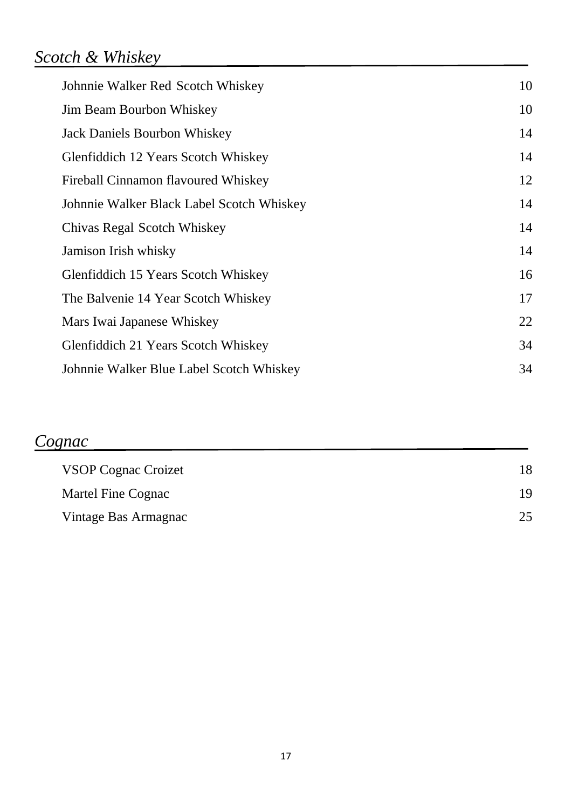### *Scotch & Whiskey*

| Johnnie Walker Red Scotch Whiskey         | 10 |
|-------------------------------------------|----|
| <b>Jim Beam Bourbon Whiskey</b>           | 10 |
| <b>Jack Daniels Bourbon Whiskey</b>       | 14 |
| Glenfiddich 12 Years Scotch Whiskey       | 14 |
| Fireball Cinnamon flavoured Whiskey       | 12 |
| Johnnie Walker Black Label Scotch Whiskey | 14 |
| Chivas Regal Scotch Whiskey               | 14 |
| Jamison Irish whisky                      | 14 |
| Glenfiddich 15 Years Scotch Whiskey       | 16 |
| The Balvenie 14 Year Scotch Whiskey       | 17 |
| Mars Iwai Japanese Whiskey                | 22 |
| Glenfiddich 21 Years Scotch Whiskey       | 34 |
| Johnnie Walker Blue Label Scotch Whiskey  | 34 |

### *Cognac*

| <b>VSOP Cognac Croizet</b> |    |
|----------------------------|----|
| Martel Fine Cognac         |    |
| Vintage Bas Armagnac       | 25 |